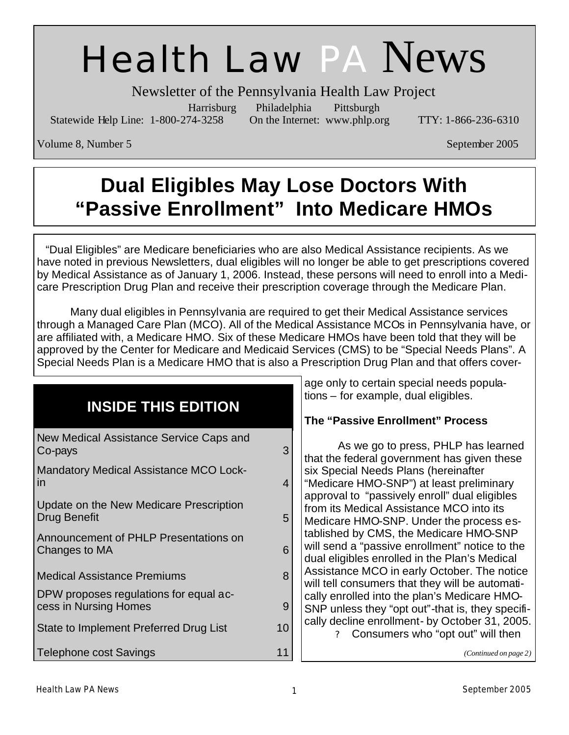# Health Law PA News

Newsletter of the Pennsylvania Health Law Project

Harrisburg Philadelphia Pittsburgh

Statewide Help Line: 1-800-274-3258 On the Internet: www.phlp.org TTY: 1-866-236-6310

Volume 8, Number 5 September 2005

# **Dual Eligibles May Lose Doctors With "Passive Enrollment" Into Medicare HMOs**

 "Dual Eligibles" are Medicare beneficiaries who are also Medical Assistance recipients. As we have noted in previous Newsletters, dual eligibles will no longer be able to get prescriptions covered by Medical Assistance as of January 1, 2006. Instead, these persons will need to enroll into a Medicare Prescription Drug Plan and receive their prescription coverage through the Medicare Plan.

 Many dual eligibles in Pennsylvania are required to get their Medical Assistance services through a Managed Care Plan (MCO). All of the Medical Assistance MCOs in Pennsylvania have, or are affiliated with, a Medicare HMO. Six of these Medicare HMOs have been told that they will be approved by the Center for Medicare and Medicaid Services (CMS) to be "Special Needs Plans". A Special Needs Plan is a Medicare HMO that is also a Prescription Drug Plan and that offers cover-

|                                                                 |    | age only to certain special needs popula-                                                                                                 |
|-----------------------------------------------------------------|----|-------------------------------------------------------------------------------------------------------------------------------------------|
|                                                                 |    | tions – for example, dual eligibles.                                                                                                      |
| <b>INSIDE THIS EDITION</b>                                      |    | The "Passive Enrollment" Process                                                                                                          |
| New Medical Assistance Service Caps and<br>Co-pays              | 3  | As we go to press, PHLP has learned<br>that the federal government has given these                                                        |
| <b>Mandatory Medical Assistance MCO Lock-</b><br>in             | 4  | six Special Needs Plans (hereinafter<br>"Medicare HMO-SNP") at least preliminary                                                          |
| Update on the New Medicare Prescription<br>Drug Benefit         | 5  | approval to "passively enroll" dual eligibles<br>from its Medical Assistance MCO into its<br>Medicare HMO-SNP. Under the process es-      |
| Announcement of PHLP Presentations on<br>Changes to MA          | 6  | tablished by CMS, the Medicare HMO-SNP<br>will send a "passive enrollment" notice to the<br>dual eligibles enrolled in the Plan's Medical |
| <b>Medical Assistance Premiums</b>                              | 8  | Assistance MCO in early October. The notice<br>will tell consumers that they will be automati-                                            |
| DPW proposes regulations for equal ac-<br>cess in Nursing Homes | 9  | cally enrolled into the plan's Medicare HMO-<br>SNP unless they "opt out"-that is, they specifi-                                          |
| State to Implement Preferred Drug List                          | 10 | cally decline enrollment- by October 31, 2005.<br>Consumers who "opt out" will then<br>2                                                  |
| <b>Telephone cost Savings</b>                                   |    | (Continued on page 2)                                                                                                                     |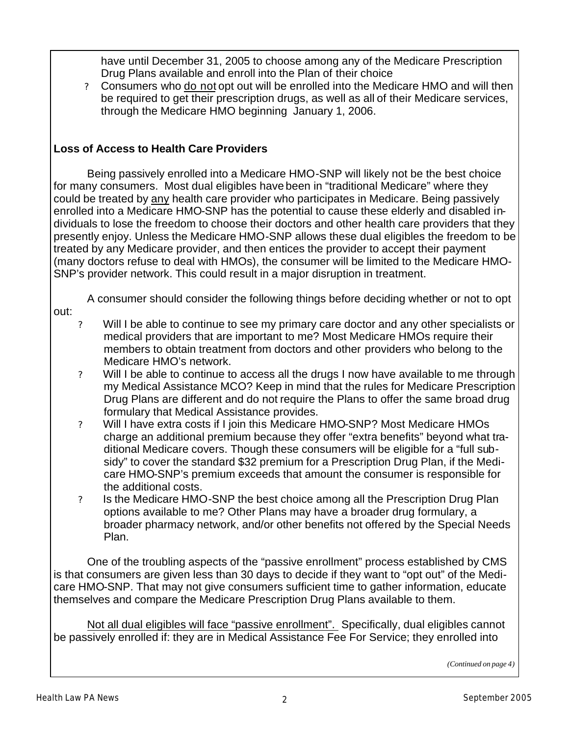have until December 31, 2005 to choose among any of the Medicare Prescription Drug Plans available and enroll into the Plan of their choice

? Consumers who do not opt out will be enrolled into the Medicare HMO and will then be required to get their prescription drugs, as well as all of their Medicare services, through the Medicare HMO beginning January 1, 2006.

#### **Loss of Access to Health Care Providers**

 Being passively enrolled into a Medicare HMO-SNP will likely not be the best choice for many consumers. Most dual eligibles have been in "traditional Medicare" where they could be treated by any health care provider who participates in Medicare. Being passively enrolled into a Medicare HMO-SNP has the potential to cause these elderly and disabled individuals to lose the freedom to choose their doctors and other health care providers that they presently enjoy. Unless the Medicare HMO-SNP allows these dual eligibles the freedom to be treated by any Medicare provider, and then entices the provider to accept their payment (many doctors refuse to deal with HMOs), the consumer will be limited to the Medicare HMO-SNP's provider network. This could result in a major disruption in treatment.

A consumer should consider the following things before deciding whether or not to opt

- out:
	- ? Will I be able to continue to see my primary care doctor and any other specialists or medical providers that are important to me? Most Medicare HMOs require their members to obtain treatment from doctors and other providers who belong to the Medicare HMO's network.
	- ? Will I be able to continue to access all the drugs I now have available to me through my Medical Assistance MCO? Keep in mind that the rules for Medicare Prescription Drug Plans are different and do not require the Plans to offer the same broad drug formulary that Medical Assistance provides.
	- ? Will I have extra costs if I join this Medicare HMO-SNP? Most Medicare HMOs charge an additional premium because they offer "extra benefits" beyond what traditional Medicare covers. Though these consumers will be eligible for a "full subsidy" to cover the standard \$32 premium for a Prescription Drug Plan, if the Medicare HMO-SNP's premium exceeds that amount the consumer is responsible for the additional costs.
	- ? Is the Medicare HMO-SNP the best choice among all the Prescription Drug Plan options available to me? Other Plans may have a broader drug formulary, a broader pharmacy network, and/or other benefits not offered by the Special Needs Plan.

 One of the troubling aspects of the "passive enrollment" process established by CMS is that consumers are given less than 30 days to decide if they want to "opt out" of the Medicare HMO-SNP. That may not give consumers sufficient time to gather information, educate themselves and compare the Medicare Prescription Drug Plans available to them.

Not all dual eligibles will face "passive enrollment". Specifically, dual eligibles cannot be passively enrolled if: they are in Medical Assistance Fee For Service; they enrolled into

*(Continued on page 4)*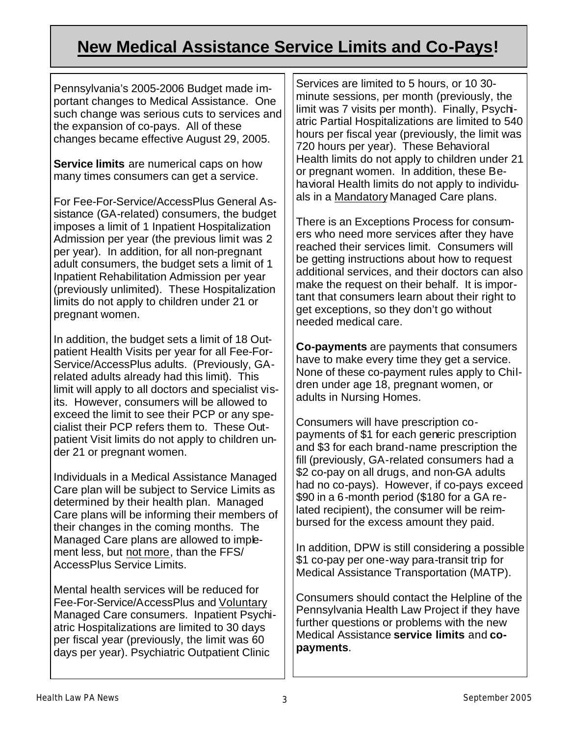### **New Medical Assistance Service Limits and Co-Pays!**

Pennsylvania's 2005-2006 Budget made important changes to Medical Assistance. One such change was serious cuts to services and the expansion of co-pays. All of these changes became effective August 29, 2005.

**Service limits** are numerical caps on how many times consumers can get a service.

For Fee-For-Service/AccessPlus General Assistance (GA-related) consumers, the budget imposes a limit of 1 Inpatient Hospitalization Admission per year (the previous limit was 2 per year). In addition, for all non-pregnant adult consumers, the budget sets a limit of 1 Inpatient Rehabilitation Admission per year (previously unlimited). These Hospitalization limits do not apply to children under 21 or pregnant women.

In addition, the budget sets a limit of 18 Outpatient Health Visits per year for all Fee-For-Service/AccessPlus adults. (Previously, GArelated adults already had this limit). This limit will apply to all doctors and specialist visits. However, consumers will be allowed to exceed the limit to see their PCP or any specialist their PCP refers them to. These Outpatient Visit limits do not apply to children under 21 or pregnant women.

Individuals in a Medical Assistance Managed Care plan will be subject to Service Limits as determined by their health plan. Managed Care plans will be informing their members of their changes in the coming months. The Managed Care plans are allowed to implement less, but not more, than the FFS/ AccessPlus Service Limits.

Mental health services will be reduced for Fee-For-Service/AccessPlus and Voluntary Managed Care consumers. Inpatient Psychiatric Hospitalizations are limited to 30 days per fiscal year (previously, the limit was 60 days per year). Psychiatric Outpatient Clinic

Services are limited to 5 hours, or 10 30 minute sessions, per month (previously, the limit was 7 visits per month). Finally, Psychiatric Partial Hospitalizations are limited to 540 hours per fiscal year (previously, the limit was 720 hours per year). These Behavioral Health limits do not apply to children under 21 or pregnant women. In addition, these Behavioral Health limits do not apply to individuals in a Mandatory Managed Care plans.

There is an Exceptions Process for consumers who need more services after they have reached their services limit. Consumers will be getting instructions about how to request additional services, and their doctors can also make the request on their behalf. It is important that consumers learn about their right to get exceptions, so they don't go without needed medical care.

**Co-payments** are payments that consumers have to make every time they get a service. None of these co-payment rules apply to Children under age 18, pregnant women, or adults in Nursing Homes.

Consumers will have prescription copayments of \$1 for each generic prescription and \$3 for each brand-name prescription the fill (previously, GA-related consumers had a \$2 co-pay on all drugs, and non-GA adults had no co-pays). However, if co-pays exceed \$90 in a 6-month period (\$180 for a GA related recipient), the consumer will be reimbursed for the excess amount they paid.

In addition, DPW is still considering a possible \$1 co-pay per one-way para-transit trip for Medical Assistance Transportation (MATP).

Consumers should contact the Helpline of the Pennsylvania Health Law Project if they have further questions or problems with the new Medical Assistance **service limits** and **copayments**.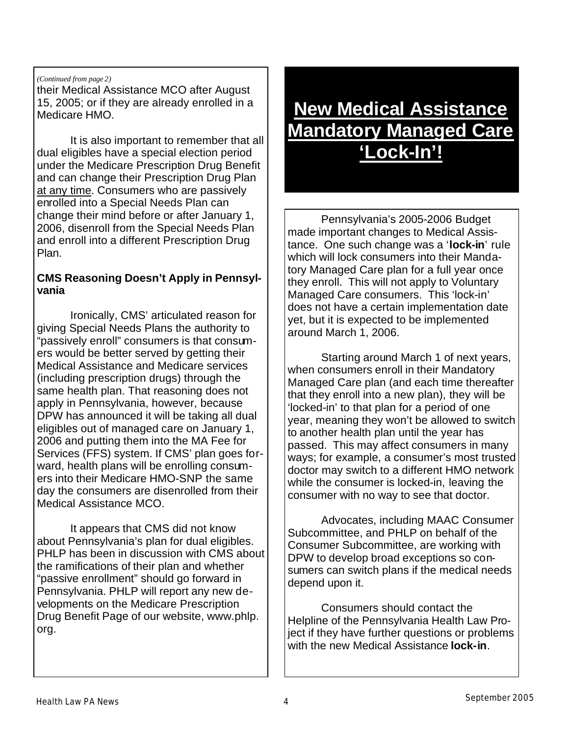#### *(Continued from page 2)*

their Medical Assistance MCO after August 15, 2005; or if they are already enrolled in a Medicare HMO.

 It is also important to remember that all dual eligibles have a special election period under the Medicare Prescription Drug Benefit and can change their Prescription Drug Plan at any time. Consumers who are passively enrolled into a Special Needs Plan can change their mind before or after January 1, 2006, disenroll from the Special Needs Plan and enroll into a different Prescription Drug Plan.

#### **CMS Reasoning Doesn't Apply in Pennsylvania**

 Ironically, CMS' articulated reason for giving Special Needs Plans the authority to "passively enroll" consumers is that consumers would be better served by getting their Medical Assistance and Medicare services (including prescription drugs) through the same health plan. That reasoning does not apply in Pennsylvania, however, because DPW has announced it will be taking all dual eligibles out of managed care on January 1, 2006 and putting them into the MA Fee for Services (FFS) system. If CMS' plan goes forward, health plans will be enrolling consumers into their Medicare HMO-SNP the same day the consumers are disenrolled from their Medical Assistance MCO.

 It appears that CMS did not know about Pennsylvania's plan for dual eligibles. PHLP has been in discussion with CMS about the ramifications of their plan and whether "passive enrollment" should go forward in Pennsylvania. PHLP will report any new developments on the Medicare Prescription Drug Benefit Page of our website, www.phlp. org.

## **New Medical Assistance Mandatory Managed Care 'Lock-In'!**

 Pennsylvania's 2005-2006 Budget made important changes to Medical Assistance. One such change was a '**lock-in**' rule which will lock consumers into their Mandatory Managed Care plan for a full year once they enroll. This will not apply to Voluntary Managed Care consumers. This 'lock-in' does not have a certain implementation date yet, but it is expected to be implemented around March 1, 2006.

 Starting around March 1 of next years, when consumers enroll in their Mandatory Managed Care plan (and each time thereafter that they enroll into a new plan), they will be 'locked-in' to that plan for a period of one year, meaning they won't be allowed to switch to another health plan until the year has passed. This may affect consumers in many ways; for example, a consumer's most trusted doctor may switch to a different HMO network while the consumer is locked-in, leaving the consumer with no way to see that doctor.

 Advocates, including MAAC Consumer Subcommittee, and PHLP on behalf of the Consumer Subcommittee, are working with DPW to develop broad exceptions so consumers can switch plans if the medical needs depend upon it.

 Consumers should contact the Helpline of the Pennsylvania Health Law Project if they have further questions or problems with the new Medical Assistance **lock-in**.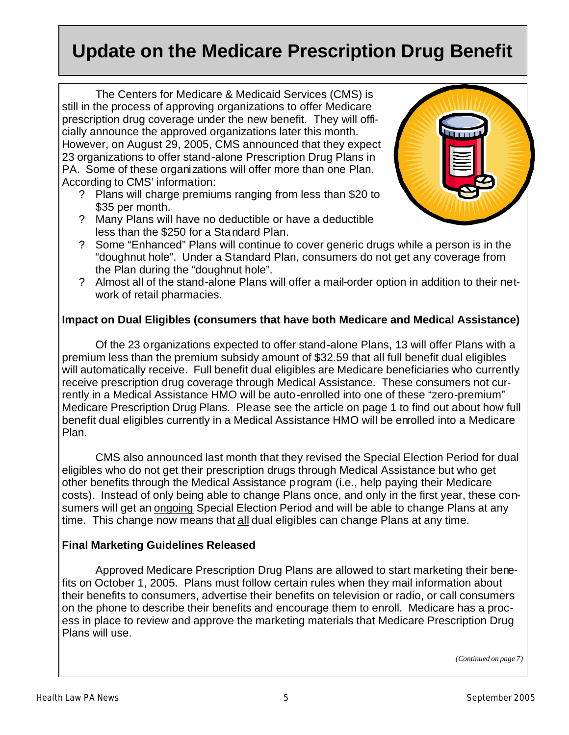### **Update on the Medicare Prescription Drug Benefit**

 The Centers for Medicare & Medicaid Services (CMS) is still in the process of approving organizations to offer Medicare prescription drug coverage under the new benefit. They will officially announce the approved organizations later this month. However, on August 29, 2005, CMS announced that they expect 23 organizations to offer stand-alone Prescription Drug Plans in PA. Some of these organizations will offer more than one Plan. According to CMS' information:

- ? Plans will charge premiums ranging from less than \$20 to \$35 per month.
- ? Many Plans will have no deductible or have a deductible less than the \$250 for a Standard Plan.



- ? Some "Enhanced" Plans will continue to cover generic drugs while a person is in the "doughnut hole". Under a Standard Plan, consumers do not get any coverage from the Plan during the "doughnut hole".
- ? Almost all of the stand-alone Plans will offer a mail-order option in addition to their network of retail pharmacies.

#### **Impact on Dual Eligibles (consumers that have both Medicare and Medical Assistance)**

 Of the 23 organizations expected to offer stand-alone Plans, 13 will offer Plans with a premium less than the premium subsidy amount of \$32.59 that all full benefit dual eligibles will automatically receive. Full benefit dual eligibles are Medicare beneficiaries who currently receive prescription drug coverage through Medical Assistance. These consumers not currently in a Medical Assistance HMO will be auto-enrolled into one of these "zero-premium" Medicare Prescription Drug Plans. Please see the article on page 1 to find out about how full benefit dual eligibles currently in a Medical Assistance HMO will be enrolled into a Medicare Plan.

 CMS also announced last month that they revised the Special Election Period for dual eligibles who do not get their prescription drugs through Medical Assistance but who get other benefits through the Medical Assistance program (i.e., help paying their Medicare costs). Instead of only being able to change Plans once, and only in the first year, these consumers will get an ongoing Special Election Period and will be able to change Plans at any time. This change now means that all dual eligibles can change Plans at any time.

#### **Final Marketing Guidelines Released**

 Approved Medicare Prescription Drug Plans are allowed to start marketing their benefits on October 1, 2005. Plans must follow certain rules when they mail information about their benefits to consumers, advertise their benefits on television or radio, or call consumers on the phone to describe their benefits and encourage them to enroll. Medicare has a process in place to review and approve the marketing materials that Medicare Prescription Drug Plans will use.

*(Continued on page 7)*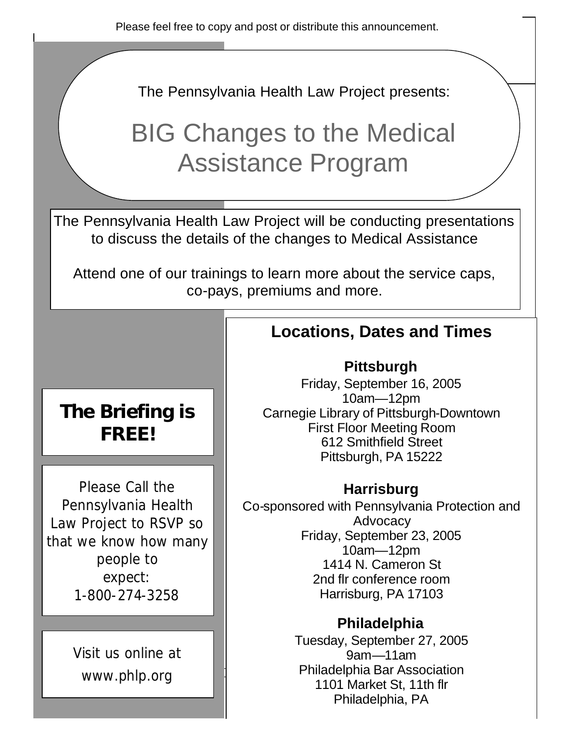Please feel free to copy and post or distribute this announcement.

The Pennsylvania Health Law Project presents:

# BIG Changes to the Medical Assistance Program

The Pennsylvania Health Law Project will be conducting presentations to discuss the details of the changes to Medical Assistance

Attend one of our trainings to learn more about the service caps, co-pays, premiums and more.

### **Locations, Dates and Times**

#### **Pittsburgh**

Friday, September 16, 2005 10am—12pm Carnegie Library of Pittsburgh-Downtown First Floor Meeting Room 612 Smithfield Street Pittsburgh, PA 15222

#### **Harrisburg**

Co-sponsored with Pennsylvania Protection and **Advocacy** Friday, September 23, 2005 10am—12pm 1414 N. Cameron St 2nd flr conference room Harrisburg, PA 17103

#### **Philadelphia**

Tuesday, September 27, 2005 9am—11am Philadelphia Bar Association 1101 Market St, 11th flr Philadelphia, PA

### **The Briefing is FREE!**

Please Call the Pennsylvania Health Law Project to RSVP so that we know how many people to expect: 1-800-274-3258

> Visit us online at www.phlp.org

Health Law Park Corporation and the Corporation of the Corporation of the Corporation of the Corporation of the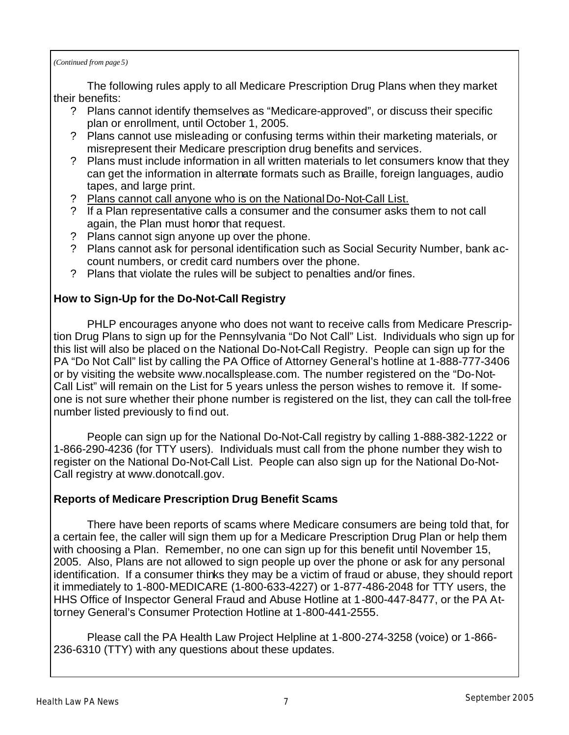*(Continued from page 5)*

 The following rules apply to all Medicare Prescription Drug Plans when they market their benefits:

- ? Plans cannot identify themselves as "Medicare-approved", or discuss their specific plan or enrollment, until October 1, 2005.
- ? Plans cannot use misleading or confusing terms within their marketing materials, or misrepresent their Medicare prescription drug benefits and services.
- ? Plans must include information in all written materials to let consumers know that they can get the information in alternate formats such as Braille, foreign languages, audio tapes, and large print.
- ? Plans cannot call anyone who is on the National Do-Not-Call List.
- ? If a Plan representative calls a consumer and the consumer asks them to not call again, the Plan must honor that request.
- ? Plans cannot sign anyone up over the phone.
- ? Plans cannot ask for personal identification such as Social Security Number, bank account numbers, or credit card numbers over the phone.
- ? Plans that violate the rules will be subject to penalties and/or fines.

#### **How to Sign-Up for the Do-Not-Call Registry**

 PHLP encourages anyone who does not want to receive calls from Medicare Prescription Drug Plans to sign up for the Pennsylvania "Do Not Call" List. Individuals who sign up for this list will also be placed on the National Do-Not-Call Registry. People can sign up for the PA "Do Not Call" list by calling the PA Office of Attorney General's hotline at 1-888-777-3406 or by visiting the website www.nocallsplease.com. The number registered on the "Do-Not-Call List" will remain on the List for 5 years unless the person wishes to remove it. If someone is not sure whether their phone number is registered on the list, they can call the toll-free number listed previously to find out.

 People can sign up for the National Do-Not-Call registry by calling 1-888-382-1222 or 1-866-290-4236 (for TTY users). Individuals must call from the phone number they wish to register on the National Do-Not-Call List. People can also sign up for the National Do-Not-Call registry at www.donotcall.gov.

#### **Reports of Medicare Prescription Drug Benefit Scams**

 There have been reports of scams where Medicare consumers are being told that, for a certain fee, the caller will sign them up for a Medicare Prescription Drug Plan or help them with choosing a Plan. Remember, no one can sign up for this benefit until November 15, 2005. Also, Plans are not allowed to sign people up over the phone or ask for any personal identification. If a consumer thinks they may be a victim of fraud or abuse, they should report it immediately to 1-800-MEDICARE (1-800-633-4227) or 1-877-486-2048 for TTY users, the HHS Office of Inspector General Fraud and Abuse Hotline at 1-800-447-8477, or the PA Attorney General's Consumer Protection Hotline at 1-800-441-2555.

 Please call the PA Health Law Project Helpline at 1-800-274-3258 (voice) or 1-866- 236-6310 (TTY) with any questions about these updates.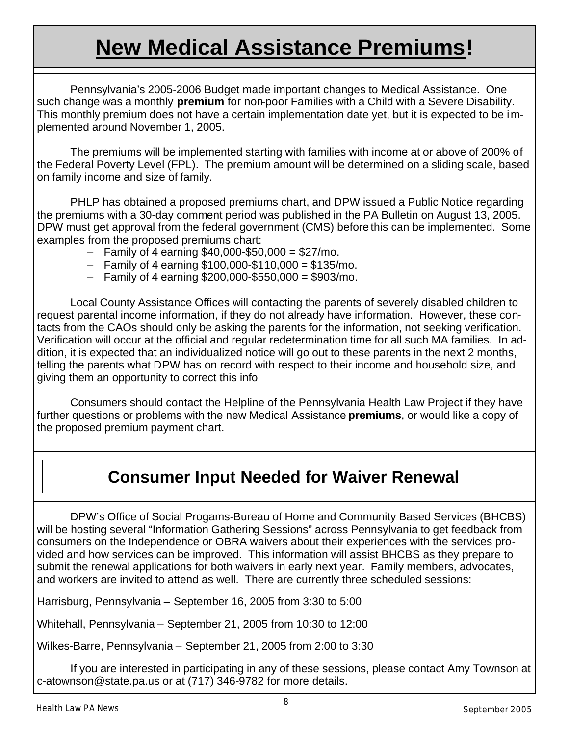# **New Medical Assistance Premiums!**

 Pennsylvania's 2005-2006 Budget made important changes to Medical Assistance. One such change was a monthly **premium** for non-poor Families with a Child with a Severe Disability. This monthly premium does not have a certain implementation date yet, but it is expected to be implemented around November 1, 2005.

 The premiums will be implemented starting with families with income at or above of 200% of the Federal Poverty Level (FPL). The premium amount will be determined on a sliding scale, based on family income and size of family.

 PHLP has obtained a proposed premiums chart, and DPW issued a Public Notice regarding the premiums with a 30-day comment period was published in the PA Bulletin on August 13, 2005. DPW must get approval from the federal government (CMS) before this can be implemented. Some examples from the proposed premiums chart:

- $-$  Family of 4 earning \$40,000-\$50,000 = \$27/mo.
- $-$  Family of 4 earning \$100,000-\$110,000 = \$135/mo.
- $-$  Family of 4 earning \$200,000-\$550,000 = \$903/mo.

 Local County Assistance Offices will contacting the parents of severely disabled children to request parental income information, if they do not already have information. However, these contacts from the CAOs should only be asking the parents for the information, not seeking verification. Verification will occur at the official and regular redetermination time for all such MA families. In addition, it is expected that an individualized notice will go out to these parents in the next 2 months, telling the parents what DPW has on record with respect to their income and household size, and giving them an opportunity to correct this info

 Consumers should contact the Helpline of the Pennsylvania Health Law Project if they have further questions or problems with the new Medical Assistance **premiums**, or would like a copy of the proposed premium payment chart.

### **Consumer Input Needed for Waiver Renewal**

 DPW's Office of Social Progams-Bureau of Home and Community Based Services (BHCBS) will be hosting several "Information Gathering Sessions" across Pennsylvania to get feedback from consumers on the Independence or OBRA waivers about their experiences with the services provided and how services can be improved. This information will assist BHCBS as they prepare to submit the renewal applications for both waivers in early next year. Family members, advocates, and workers are invited to attend as well. There are currently three scheduled sessions:

Harrisburg, Pennsylvania – September 16, 2005 from 3:30 to 5:00

Whitehall, Pennsylvania – September 21, 2005 from 10:30 to 12:00

Wilkes-Barre, Pennsylvania – September 21, 2005 from 2:00 to 3:30

 If you are interested in participating in any of these sessions, please contact Amy Townson at c-atownson@state.pa.us or at (717) 346-9782 for more details.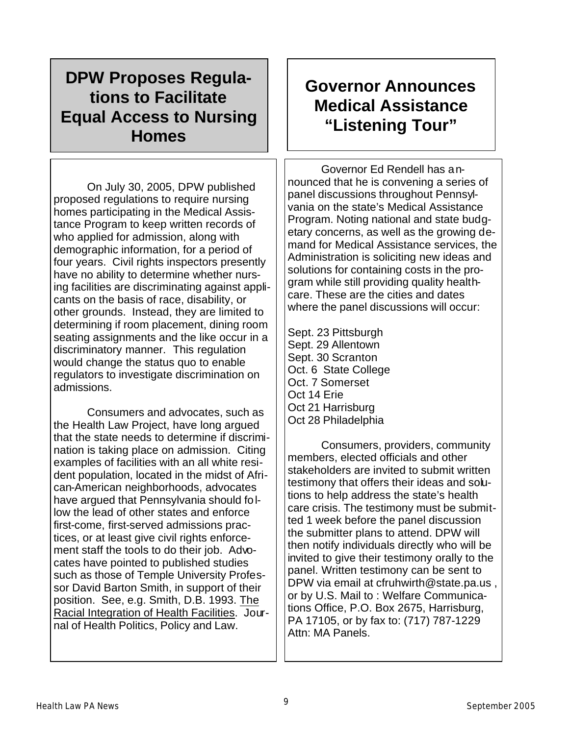### **DPW Proposes Regulations to Facilitate Equal Access to Nursing Homes**

 On July 30, 2005, DPW published proposed regulations to require nursing homes participating in the Medical Assistance Program to keep written records of who applied for admission, along with demographic information, for a period of four years. Civil rights inspectors presently have no ability to determine whether nursing facilities are discriminating against applicants on the basis of race, disability, or other grounds. Instead, they are limited to determining if room placement, dining room seating assignments and the like occur in a discriminatory manner. This regulation would change the status quo to enable regulators to investigate discrimination on admissions.

 Consumers and advocates, such as the Health Law Project, have long argued that the state needs to determine if discrimination is taking place on admission. Citing examples of facilities with an all white resident population, located in the midst of African-American neighborhoods, advocates have argued that Pennsylvania should follow the lead of other states and enforce first-come, first-served admissions practices, or at least give civil rights enforcement staff the tools to do their job. Advocates have pointed to published studies such as those of Temple University Professor David Barton Smith, in support of their position. See, e.g. Smith, D.B. 1993. The Racial Integration of Health Facilities. Journal of Health Politics, Policy and Law.

### **Governor Announces Medical Assistance "Listening Tour"**

 Governor Ed Rendell has announced that he is convening a series of panel discussions throughout Pennsylvania on the state's Medical Assistance Program. Noting national and state budgetary concerns, as well as the growing demand for Medical Assistance services, the Administration is soliciting new ideas and solutions for containing costs in the program while still providing quality healthcare. These are the cities and dates where the panel discussions will occur:

Sept. 23 Pittsburgh Sept. 29 Allentown Sept. 30 Scranton Oct. 6 State College Oct. 7 Somerset Oct 14 Erie Oct 21 Harrisburg Oct 28 Philadelphia

 Consumers, providers, community members, elected officials and other stakeholders are invited to submit written testimony that offers their ideas and solutions to help address the state's health care crisis. The testimony must be submitted 1 week before the panel discussion the submitter plans to attend. DPW will then notify individuals directly who will be invited to give their testimony orally to the panel. Written testimony can be sent to DPW via email at cfruhwirth@state.pa.us , or by U.S. Mail to : Welfare Communications Office, P.O. Box 2675, Harrisburg, PA 17105, or by fax to: (717) 787-1229 Attn: MA Panels.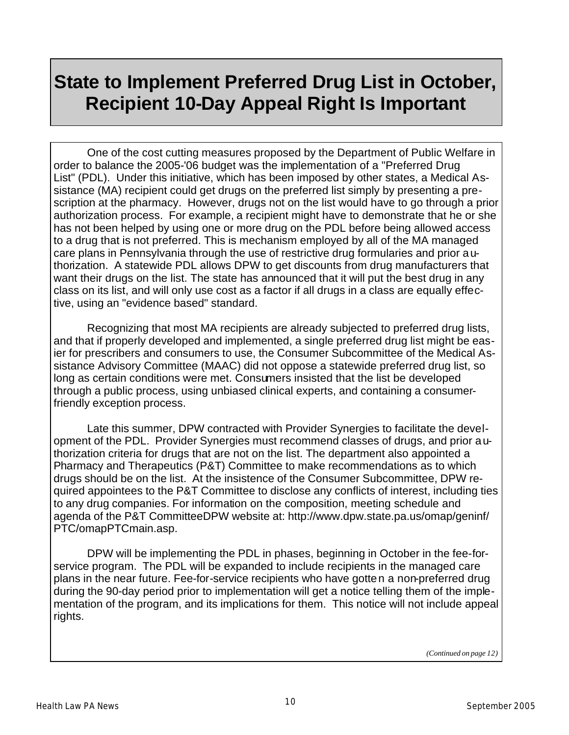### **State to Implement Preferred Drug List in October, Recipient 10-Day Appeal Right Is Important**

 One of the cost cutting measures proposed by the Department of Public Welfare in order to balance the 2005-'06 budget was the implementation of a "Preferred Drug List" (PDL). Under this initiative, which has been imposed by other states, a Medical Assistance (MA) recipient could get drugs on the preferred list simply by presenting a prescription at the pharmacy. However, drugs not on the list would have to go through a prior authorization process. For example, a recipient might have to demonstrate that he or she has not been helped by using one or more drug on the PDL before being allowed access to a drug that is not preferred. This is mechanism employed by all of the MA managed care plans in Pennsylvania through the use of restrictive drug formularies and prior authorization. A statewide PDL allows DPW to get discounts from drug manufacturers that want their drugs on the list. The state has announced that it will put the best drug in any class on its list, and will only use cost as a factor if all drugs in a class are equally effective, using an "evidence based" standard.

 Recognizing that most MA recipients are already subjected to preferred drug lists, and that if properly developed and implemented, a single preferred drug list might be easier for prescribers and consumers to use, the Consumer Subcommittee of the Medical Assistance Advisory Committee (MAAC) did not oppose a statewide preferred drug list, so long as certain conditions were met. Consumers insisted that the list be developed through a public process, using unbiased clinical experts, and containing a consumerfriendly exception process.

 Late this summer, DPW contracted with Provider Synergies to facilitate the development of the PDL. Provider Synergies must recommend classes of drugs, and prior authorization criteria for drugs that are not on the list. The department also appointed a Pharmacy and Therapeutics (P&T) Committee to make recommendations as to which drugs should be on the list. At the insistence of the Consumer Subcommittee, DPW required appointees to the P&T Committee to disclose any conflicts of interest, including ties to any drug companies. For information on the composition, meeting schedule and agenda of the P&T CommitteeDPW website at: http://www.dpw.state.pa.us/omap/geninf/ PTC/omapPTCmain.asp.

 DPW will be implementing the PDL in phases, beginning in October in the fee-forservice program. The PDL will be expanded to include recipients in the managed care plans in the near future. Fee-for-service recipients who have gotten a non-preferred drug during the 90-day period prior to implementation will get a notice telling them of the implementation of the program, and its implications for them. This notice will not include appeal rights.

*(Continued on page 12)*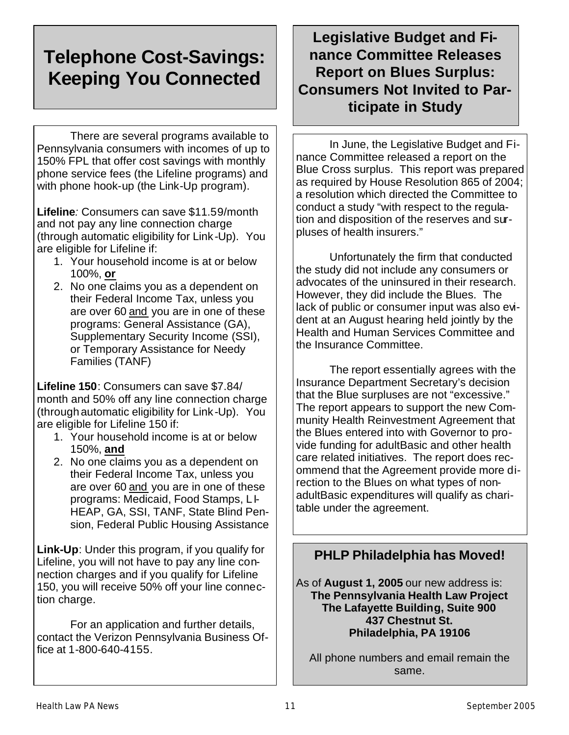### **Telephone Cost-Savings: Keeping You Connected**

 There are several programs available to Pennsylvania consumers with incomes of up to 150% FPL that offer cost savings with monthly phone service fees (the Lifeline programs) and with phone hook-up (the Link-Up program).

**Lifeline***:* Consumers can save \$11.59/month and not pay any line connection charge (through automatic eligibility for Link-Up). You are eligible for Lifeline if:

- 1. Your household income is at or below 100%, **or**
- 2. No one claims you as a dependent on their Federal Income Tax, unless you are over 60 and you are in one of these programs: General Assistance (GA), Supplementary Security Income (SSI), or Temporary Assistance for Needy Families (TANF)

**Lifeline 150**: Consumers can save \$7.84/ month and 50% off any line connection charge (through automatic eligibility for Link -Up). You are eligible for Lifeline 150 if:

- 1. Your household income is at or below 150%, **and**
- 2. No one claims you as a dependent on their Federal Income Tax, unless you are over 60 and you are in one of these programs: Medicaid, Food Stamps, LI-HEAP, GA, SSI, TANF, State Blind Pension, Federal Public Housing Assistance

**Link-Up**: Under this program, if you qualify for Lifeline, you will not have to pay any line connection charges and if you qualify for Lifeline 150, you will receive 50% off your line connection charge.

 For an application and further details, contact the Verizon Pennsylvania Business Office at 1-800-640-4155.

### **Legislative Budget and Finance Committee Releases Report on Blues Surplus: Consumers Not Invited to Participate in Study**

 In June, the Legislative Budget and Finance Committee released a report on the Blue Cross surplus. This report was prepared as required by House Resolution 865 of 2004; a resolution which directed the Committee to conduct a study "with respect to the regulation and disposition of the reserves and surpluses of health insurers."

 Unfortunately the firm that conducted the study did not include any consumers or advocates of the uninsured in their research. However, they did include the Blues. The lack of public or consumer input was also evident at an August hearing held jointly by the Health and Human Services Committee and the Insurance Committee.

 The report essentially agrees with the Insurance Department Secretary's decision that the Blue surpluses are not "excessive." The report appears to support the new Community Health Reinvestment Agreement that the Blues entered into with Governor to provide funding for adultBasic and other health care related initiatives. The report does recommend that the Agreement provide more direction to the Blues on what types of nonadultBasic expenditures will qualify as charitable under the agreement.

#### **PHLP Philadelphia has Moved!**

As of **August 1, 2005** our new address is: **The Pennsylvania Health Law Project The Lafayette Building, Suite 900 437 Chestnut St. Philadelphia, PA 19106**

All phone numbers and email remain the same.